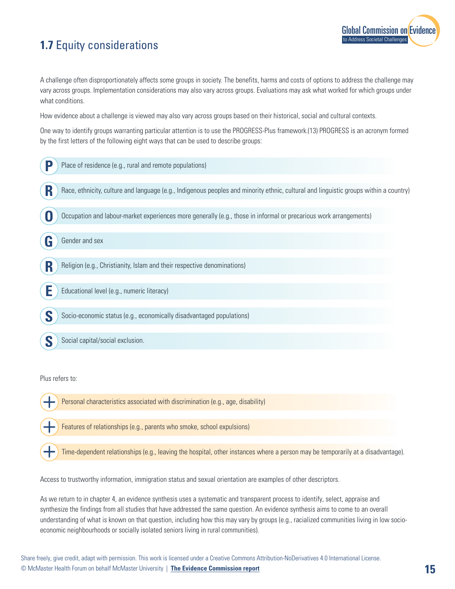## **1.7** Equity considerations

[Global Commission on Evidence](https://www.mcmasterforum.org/networks/evidence-commission/report/english) to Address Societal Challenges

A challenge often disproportionately affects some groups in society. The benefits, harms and costs of options to address the challenge may vary across groups. Implementation considerations may also vary across groups. Evaluations may ask what worked for which groups under what conditions.

How evidence about a challenge is viewed may also vary across groups based on their historical, social and cultural contexts.

One way to identify groups warranting particular attention is to use the PROGRESS-Plus framework.(13) PROGRESS is an acronym formed by the first letters of the following eight ways that can be used to describe groups:

| D | Place of residence (e.g., rural and remote populations)                                                                               |
|---|---------------------------------------------------------------------------------------------------------------------------------------|
| R | Race, ethnicity, culture and language (e.g., Indigenous peoples and minority ethnic, cultural and linguistic groups within a country) |
|   | Occupation and labour-market experiences more generally (e.g., those in informal or precarious work arrangements)                     |
| G | Gender and sex                                                                                                                        |
| R | Religion (e.g., Christianity, Islam and their respective denominations)                                                               |
|   | Educational level (e.g., numeric literacy)                                                                                            |
|   | Socio-economic status (e.g., economically disadvantaged populations)                                                                  |
|   | Social capital/social exclusion.                                                                                                      |
|   |                                                                                                                                       |

Plus refers to:

Personal characteristics associated with discrimination (e.g., age, disability)

Features of relationships (e.g., parents who smoke, school expulsions)

Time-dependent relationships (e.g., leaving the hospital, other instances where a person may be temporarily at a disadvantage).

Access to trustworthy information, immigration status and sexual orientation are examples of other descriptors.

As we return to in chapter 4, an evidence synthesis uses a systematic and transparent process to identify, select, appraise and synthesize the findings from all studies that have addressed the same question. An evidence synthesis aims to come to an overall understanding of what is known on that question, including how this may vary by groups (e.g., racialized communities living in low socioeconomic neighbourhoods or socially isolated seniors living in rural communities).